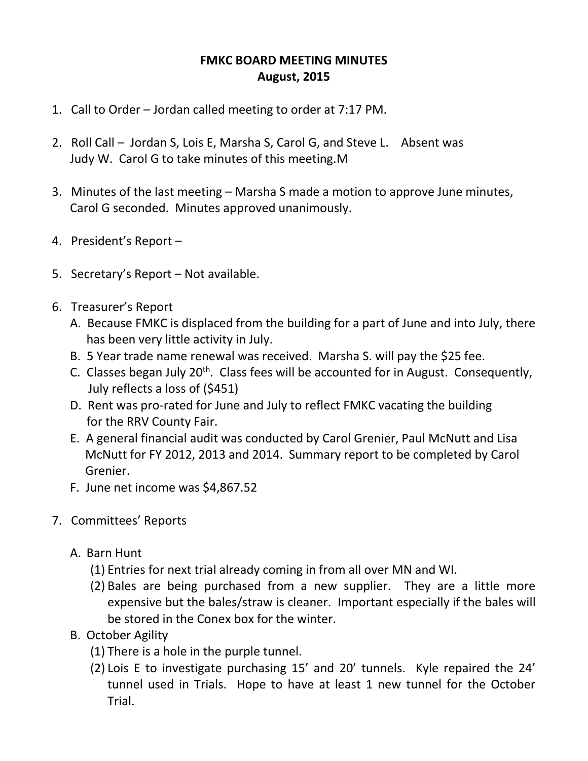## **FMKC BOARD MEETING MINUTES August, 2015**

- 1. Call to Order Jordan called meeting to order at 7:17 PM.
- 2. Roll Call Jordan S, Lois E, Marsha S, Carol G, and Steve L. Absent was Judy W. Carol G to take minutes of this meeting.M
- 3. Minutes of the last meeting Marsha S made a motion to approve June minutes, Carol G seconded. Minutes approved unanimously.
- 4. President's Report –
- 5. Secretary's Report Not available.
- 6. Treasurer's Report
	- A. Because FMKC is displaced from the building for a part of June and into July, there has been very little activity in July.
	- B. 5 Year trade name renewal was received. Marsha S. will pay the \$25 fee.
	- C. Classes began July  $20<sup>th</sup>$ . Class fees will be accounted for in August. Consequently, July reflects a loss of (\$451)
	- D. Rent was pro-rated for June and July to reflect FMKC vacating the building for the RRV County Fair.
	- E. A general financial audit was conducted by Carol Grenier, Paul McNutt and Lisa McNutt for FY 2012, 2013 and 2014. Summary report to be completed by Carol Grenier.
	- F. June net income was \$4,867.52
- 7. Committees' Reports
	- A. Barn Hunt
		- (1) Entries for next trial already coming in from all over MN and WI.
		- (2) Bales are being purchased from a new supplier. They are a little more expensive but the bales/straw is cleaner. Important especially if the bales will be stored in the Conex box for the winter.
	- B. October Agility
		- (1) There is a hole in the purple tunnel.
		- (2) Lois E to investigate purchasing 15' and 20' tunnels. Kyle repaired the 24' tunnel used in Trials. Hope to have at least 1 new tunnel for the October Trial.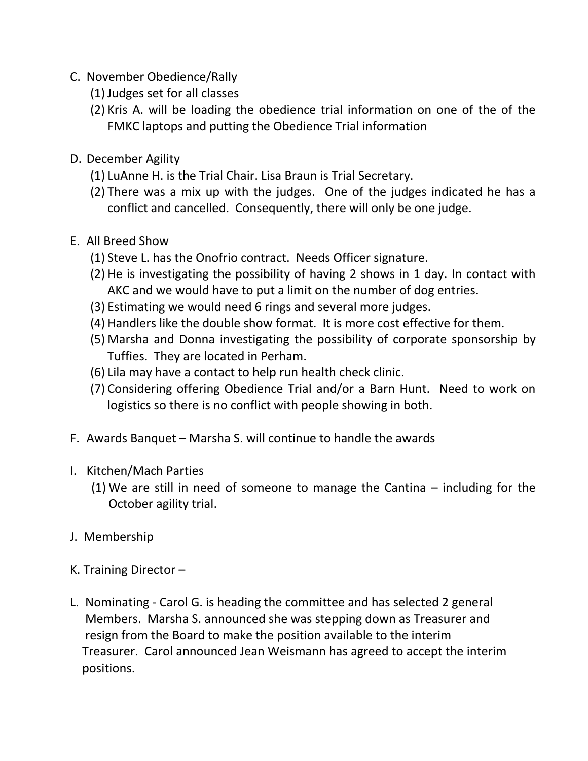- C. November Obedience/Rally
	- (1) Judges set for all classes
	- (2) Kris A. will be loading the obedience trial information on one of the of the FMKC laptops and putting the Obedience Trial information
- D. December Agility
	- (1) LuAnne H. is the Trial Chair. Lisa Braun is Trial Secretary.
	- (2) There was a mix up with the judges. One of the judges indicated he has a conflict and cancelled. Consequently, there will only be one judge.
- E. All Breed Show
	- (1) Steve L. has the Onofrio contract. Needs Officer signature.
	- (2) He is investigating the possibility of having 2 shows in 1 day. In contact with AKC and we would have to put a limit on the number of dog entries.
	- (3) Estimating we would need 6 rings and several more judges.
	- (4) Handlers like the double show format. It is more cost effective for them.
	- (5) Marsha and Donna investigating the possibility of corporate sponsorship by Tuffies. They are located in Perham.
	- (6) Lila may have a contact to help run health check clinic.
	- (7) Considering offering Obedience Trial and/or a Barn Hunt. Need to work on logistics so there is no conflict with people showing in both.
- F. Awards Banquet Marsha S. will continue to handle the awards
- I. Kitchen/Mach Parties
	- (1) We are still in need of someone to manage the Cantina including for the October agility trial.
- J. Membership
- K. Training Director –
- L. Nominating Carol G. is heading the committee and has selected 2 general Members. Marsha S. announced she was stepping down as Treasurer and resign from the Board to make the position available to the interim Treasurer. Carol announced Jean Weismann has agreed to accept the interim positions.